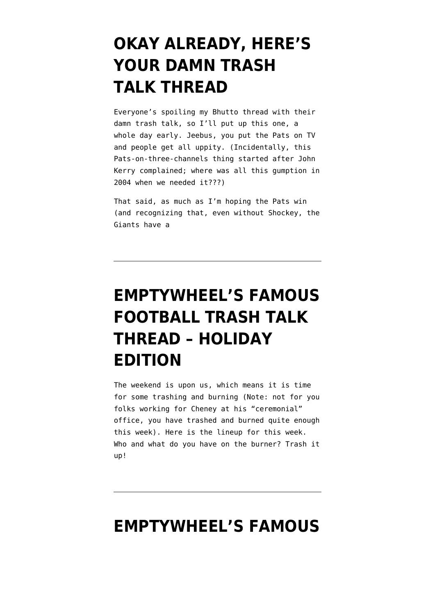## **[OKAY ALREADY, HERE'S](https://www.emptywheel.net/2007/12/28/okay-already-heres-your-damn-trash-talk-thread/) [YOUR DAMN TRASH](https://www.emptywheel.net/2007/12/28/okay-already-heres-your-damn-trash-talk-thread/) [TALK THREAD](https://www.emptywheel.net/2007/12/28/okay-already-heres-your-damn-trash-talk-thread/)**

Everyone's spoiling my Bhutto thread with their damn trash talk, so I'll put up this one, a whole day early. Jeebus, you put the Pats on TV and people get all uppity. (Incidentally, this Pats-on-three-channels thing started after John Kerry complained; where was all this gumption in 2004 when we needed it???)

That said, as much as I'm hoping the Pats win (and recognizing that, even without Shockey, the Giants have a

# **[EMPTYWHEEL'S FAMOUS](https://www.emptywheel.net/2007/12/21/emptywheels-famous-football-trash-talk-thread-holiday-edition/) [FOOTBALL TRASH TALK](https://www.emptywheel.net/2007/12/21/emptywheels-famous-football-trash-talk-thread-holiday-edition/) [THREAD – HOLIDAY](https://www.emptywheel.net/2007/12/21/emptywheels-famous-football-trash-talk-thread-holiday-edition/) [EDITION](https://www.emptywheel.net/2007/12/21/emptywheels-famous-football-trash-talk-thread-holiday-edition/)**

The weekend is upon us, which means it is time for some trashing and burning (Note: not for you folks working for Cheney at his "ceremonial" office, you have trashed and burned quite enough this week). Here is the lineup for this week. Who and what do you have on the burner? Trash it up!

#### **[EMPTYWHEEL'S FAMOUS](https://www.emptywheel.net/2007/12/16/emptywheels-famous-football-trash-talk-thread/)**